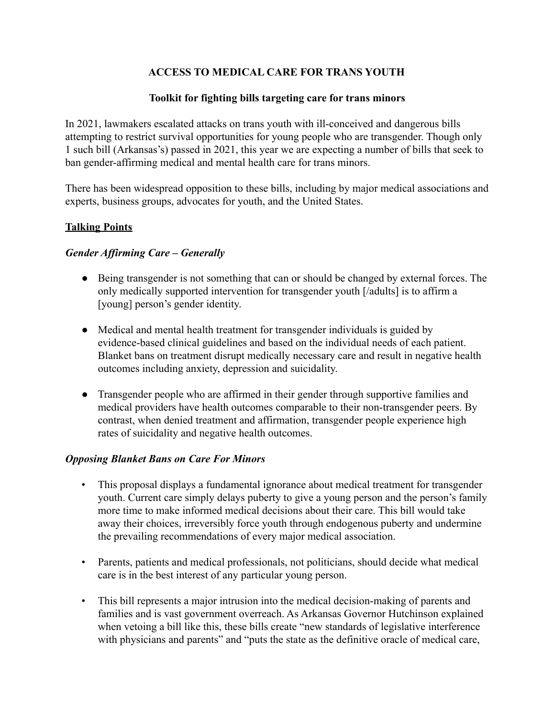## **ACCESS TO MEDICAL CARE FOR TRANS YOUTH**

## **Toolkit for fighting bills targeting care for trans minors**

In 2021, lawmakers escalated attacks on trans youth with ill-conceived and dangerous bills attempting to restrict survival opportunities for young people who are transgender. Though only 1 such bill (Arkansas's) passed in 2021, this year we are expecting a number of bills that seek to ban gender-affirming medical and mental health care for trans minors.

There has been widespread opposition to these bills, including by major medical associations and experts, business groups, advocates for youth, and the United States.

## **Talking Points**

#### *Gender Affirming Care – Generally*

- Being transgender is not something that can or should be changed by external forces. The only medically supported intervention for transgender youth [/adults] is to affirm a [young] person's gender identity.
- Medical and mental health treatment for transgender individuals is guided by evidence-based clinical guidelines and based on the individual needs of each patient. Blanket bans on treatment disrupt medically necessary care and result in negative health outcomes including anxiety, depression and suicidality.
- Transgender people who are affirmed in their gender through supportive families and medical providers have health outcomes comparable to their non-transgender peers. By contrast, when denied treatment and affirmation, transgender people experience high rates of suicidality and negative health outcomes.

#### *Opposing Blanket Bans on Care For Minors*

- This proposal displays a fundamental ignorance about medical treatment for transgender youth. Current care simply delays puberty to give a young person and the person's family more time to make informed medical decisions about their care. This bill would take away their choices, irreversibly force youth through endogenous puberty and undermine the prevailing recommendations of every major medical association.
- Parents, patients and medical professionals, not politicians, should decide what medical care is in the best interest of any particular young person.
- This bill represents a major intrusion into the medical decision-making of parents and families and is vast government overreach. As Arkansas Governor Hutchinson explained when vetoing a bill like this, these bills create "new standards of legislative interference with physicians and parents" and "puts the state as the definitive oracle of medical care,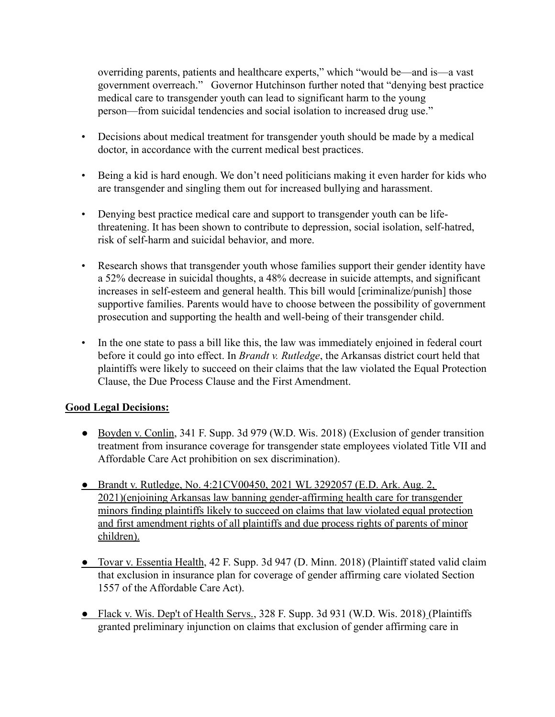overriding parents, patients and healthcare experts," which "would be—and is—a vast government overreach." Governor Hutchinson further noted that "denying best practice medical care to transgender youth can lead to significant harm to the young person—from suicidal tendencies and social isolation to increased drug use."

- Decisions about medical treatment for transgender youth should be made by a medical doctor, in accordance with the current medical best practices.
- Being a kid is hard enough. We don't need politicians making it even harder for kids who are transgender and singling them out for increased bullying and harassment.
- Denying best practice medical care and support to transgender youth can be lifethreatening. It has been shown to contribute to depression, social isolation, self-hatred, risk of self-harm and suicidal behavior, and more.
- Research shows that transgender youth whose families support their gender identity have a 52% decrease in suicidal thoughts, a 48% decrease in suicide attempts, and significant increases in self-esteem and general health. This bill would [criminalize/punish] those supportive families. Parents would have to choose between the possibility of government prosecution and supporting the health and well-being of their transgender child.
- In the one state to pass a bill like this, the law was immediately enjoined in federal court before it could go into effect. In *Brandt v. Rutledge*, the Arkansas district court held that plaintiffs were likely to succeed on their claims that the law violated the Equal Protection Clause, the Due Process Clause and the First Amendment.

#### **Good Legal Decisions:**

- Boyden v. Conlin, 341 F. Supp. 3d 979 (W.D. Wis. 2018) (Exclusion of gender transition treatment from insurance coverage for transgender state employees violated Title VII and Affordable Care Act prohibition on sex discrimination).
- Brandt v. Rutledge, No. 4:21CV00450, 2021 WL 3292057 (E.D. Ark. Aug. 2, 2021)(enjoining Arkansas law banning gender-affirming health care for transgender minors finding plaintiffs likely to succeed on claims that law violated equal protection and first amendment rights of all plaintiffs and due process rights of parents of minor children).
- Tovar v. Essentia Health, 42 F. Supp. 3d 947 (D. Minn. 2018) (Plaintiff stated valid claim that exclusion in insurance plan for coverage of gender affirming care violated Section 1557 of the Affordable Care Act).
- Flack v. Wis. Dep't of Health Servs., 328 F. Supp. 3d 931 (W.D. Wis. 2018) (Plaintiffs granted preliminary injunction on claims that exclusion of gender affirming care in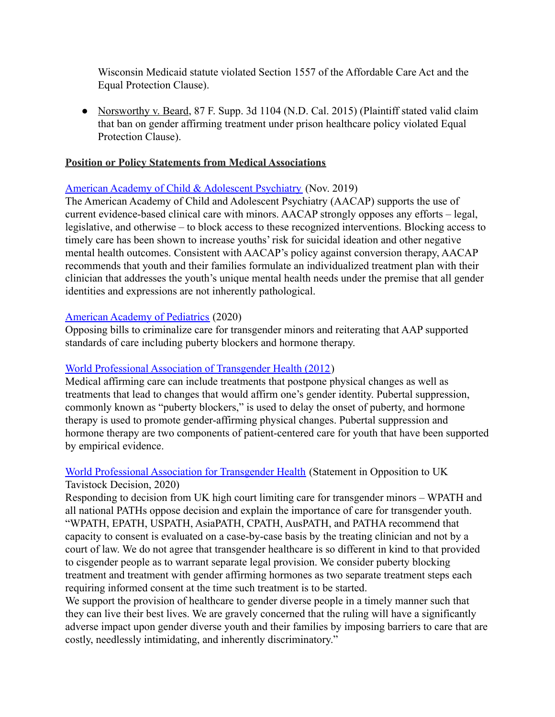Wisconsin Medicaid statute violated Section 1557 of the Affordable Care Act and the Equal Protection Clause).

• Norsworthy v. Beard, 87 F. Supp. 3d 1104 (N.D. Cal. 2015) (Plaintiff stated valid claim that ban on gender affirming treatment under prison healthcare policy violated Equal Protection Clause).

#### **Position or Policy Statements from Medical Associations**

## [American Academy of Child & Adolescent Psychiatry](https://www.aacap.org/AACAP/Latest_News/AACAP_Statement_Responding_to_Efforts-to_ban_Evidence-Based_Care_for_Transgender_and_Gender_Diverse.aspx) (Nov. 2019)

The American Academy of Child and Adolescent Psychiatry (AACAP) supports the use of current evidence-based clinical care with minors. AACAP strongly opposes any efforts – legal, legislative, and otherwise – to block access to these recognized interventions. Blocking access to timely care has been shown to increase youths' risk for suicidal ideation and other negative mental health outcomes. Consistent with AACAP's policy against conversion therapy, AACAP recommends that youth and their families formulate an individualized treatment plan with their clinician that addresses the youth's unique mental health needs under the premise that all gender identities and expressions are not inherently pathological.

## [American Academy of Pediatrics](https://www.aappublications.org/news/2020/02/18/transgender021820?utm_source=TrendMD&utm_medium=TrendMD&utm_campaign=AAPNews_TrendMD_0) (2020)

Opposing bills to criminalize care for transgender minors and reiterating that AAP supported standards of care including puberty blockers and hormone therapy.

## [World Professional Association of Transgender Health \(2012](https://www.wpath.org/media/cms/Documents/SOC%20v7/Standards%20of%20Care_V7%20Full%20Book_English.pdf))

Medical affirming care can include treatments that postpone physical changes as well as treatments that lead to changes that would affirm one's gender identity. Pubertal suppression, commonly known as "puberty blockers," is used to delay the onset of puberty, and hormone therapy is used to promote gender-affirming physical changes. Pubertal suppression and hormone therapy are two components of patient-centered care for youth that have been supported by empirical evidence.

## [World Professional Association for Transgender Health](https://www.wpath.org/media/cms/Documents/Public%20Policies/2020/FINAL%20Statement%20Regarding%20Informed%20Consent%20Court%20Case_Dec%2016%202020.docx.pdf) (Statement in Opposition to UK Tavistock Decision, 2020)

Responding to decision from UK high court limiting care for transgender minors – WPATH and all national PATHs oppose decision and explain the importance of care for transgender youth. "WPATH, EPATH, USPATH, AsiaPATH, CPATH, AusPATH, and PATHA recommend that capacity to consent is evaluated on a case-by-case basis by the treating clinician and not by a court of law. We do not agree that transgender healthcare is so different in kind to that provided to cisgender people as to warrant separate legal provision. We consider puberty blocking treatment and treatment with gender affirming hormones as two separate treatment steps each requiring informed consent at the time such treatment is to be started.

We support the provision of healthcare to gender diverse people in a timely manner such that they can live their best lives. We are gravely concerned that the ruling will have a significantly adverse impact upon gender diverse youth and their families by imposing barriers to care that are costly, needlessly intimidating, and inherently discriminatory."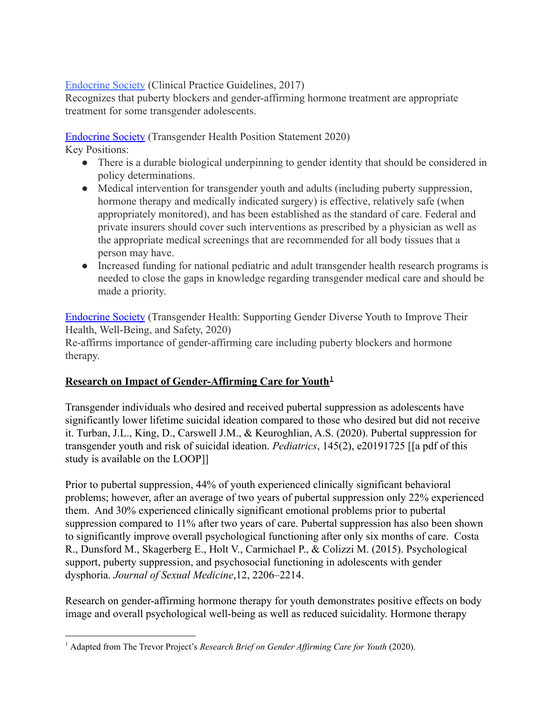## [Endocrine Society](https://www.endocrine.org/clinical-practice-guidelines/gender-dysphoria-gender-incongruence#1) (Clinical Practice Guidelines, 2017)

Recognizes that puberty blockers and gender-affirming hormone treatment are appropriate treatment for some transgender adolescents.

[Endocrine Society](https://www.endocrine.org/advocacy/position-statements/transgender-health) (Transgender Health Position Statement 2020)

Key Positions:

- There is a durable biological underpinning to gender identity that should be considered in policy determinations.
- Medical intervention for transgender youth and adults (including puberty suppression, hormone therapy and medically indicated surgery) is effective, relatively safe (when appropriately monitored), and has been established as the standard of care. Federal and private insurers should cover such interventions as prescribed by a physician as well as the appropriate medical screenings that are recommended for all body tissues that a person may have.
- Increased funding for national pediatric and adult transgender health research programs is needed to close the gaps in knowledge regarding transgender medical care and should be made a priority.

[Endocrine Society](https://www.endocrine.org/-/media/endocrine/files/advocacy/documents/transgender_health_minors_fact_sheet.pdf) (Transgender Health: Supporting Gender Diverse Youth to Improve Their Health, Well-Being, and Safety, 2020) Re-affirms importance of gender-affirming care including puberty blockers and hormone therapy.

## **Research on Impact of Gender-Affirming Care for Youth<sup>1</sup>**

Transgender individuals who desired and received pubertal suppression as adolescents have significantly lower lifetime suicidal ideation compared to those who desired but did not receive it. Turban, J.L., King, D., Carswell J.M., & Keuroghlian, A.S. (2020). Pubertal suppression for transgender youth and risk of suicidal ideation. *Pediatrics*, 145(2), e20191725 [[a pdf of this study is available on the LOOP]]

Prior to pubertal suppression, 44% of youth experienced clinically significant behavioral problems; however, after an average of two years of pubertal suppression only 22% experienced them. And 30% experienced clinically significant emotional problems prior to pubertal suppression compared to 11% after two years of care. Pubertal suppression has also been shown to significantly improve overall psychological functioning after only six months of care. Costa R., Dunsford M., Skagerberg E., Holt V., Carmichael P., & Colizzi M. (2015). Psychological support, puberty suppression, and psychosocial functioning in adolescents with gender dysphoria. *Journal of Sexual Medicine*,12, 2206–2214.

Research on gender-affirming hormone therapy for youth demonstrates positive effects on body image and overall psychological well-being as well as reduced suicidality. Hormone therapy

<sup>1</sup> Adapted from The Trevor Project's *Research Brief on Gender Af irming Care for Youth* (2020).